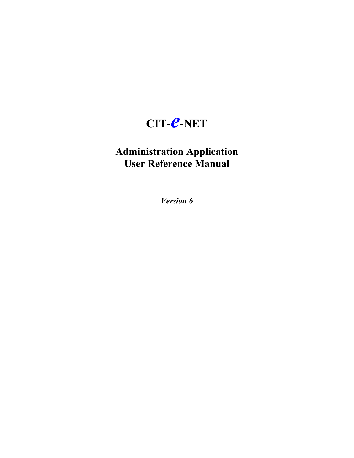# **CIT-***e***-NET**

# **Administration Application User Reference Manual**

*Version 6*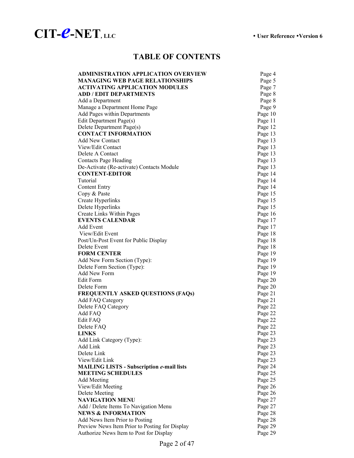

# **TABLE OF CONTENTS**

| <b>ADMINISTRATION APPLICATION OVERVIEW</b>       | Page 4  |
|--------------------------------------------------|---------|
| <b>MANAGING WEB PAGE RELATIONSHIPS</b>           | Page 5  |
| <b>ACTIVATING APPLICATION MODULES</b>            | Page 7  |
| <b>ADD / EDIT DEPARTMENTS</b>                    | Page 8  |
| Add a Department                                 | Page 8  |
| Manage a Department Home Page                    | Page 9  |
| Add Pages within Departments                     | Page 10 |
| Edit Department Page(s)                          | Page 11 |
| Delete Department Page(s)                        | Page 12 |
| <b>CONTACT INFORMATION</b>                       | Page 13 |
| <b>Add New Contact</b>                           | Page 13 |
| View/Edit Contact                                | Page 13 |
| Delete A Contact                                 | Page 13 |
| <b>Contacts Page Heading</b>                     | Page 13 |
| De-Activate (Re-activate) Contacts Module        | Page 13 |
| <b>CONTENT-EDITOR</b>                            | Page 14 |
| Tutorial                                         | Page 14 |
| <b>Content Entry</b>                             | Page 14 |
| Copy & Paste                                     | Page 15 |
| Create Hyperlinks                                | Page 15 |
| Delete Hyperlinks                                | Page 15 |
| Create Links Within Pages                        | Page 16 |
| <b>EVENTS CALENDAR</b>                           | Page 17 |
| <b>Add Event</b>                                 | Page 17 |
| View/Edit Event                                  | Page 18 |
| Post/Un-Post Event for Public Display            | Page 18 |
| Delete Event                                     | Page 18 |
| <b>FORM CENTER</b>                               | Page 19 |
| Add New Form Section (Type):                     | Page 19 |
| Delete Form Section (Type):                      | Page 19 |
| Add New Form                                     | Page 19 |
| Edit Form                                        | Page 20 |
| Delete Form                                      | Page 20 |
| <b>FREQUENTLY ASKED QUESTIONS (FAQs)</b>         | Page 21 |
| <b>Add FAQ Category</b>                          | Page 21 |
| Delete FAQ Category                              | Page 22 |
| Add FAQ                                          | Page 22 |
| Edit FAQ                                         | Page 22 |
| Delete FAQ                                       | Page 22 |
| <b>LINKS</b>                                     | Page 23 |
| Add Link Category (Type):                        | Page 23 |
| Add Link                                         | Page 23 |
| Delete Link                                      | Page 23 |
| View/Edit Link                                   | Page 23 |
| <b>MAILING LISTS - Subscription e-mail lists</b> | Page 24 |
| <b>MEETING SCHEDULES</b>                         | Page 25 |
| <b>Add Meeting</b>                               | Page 25 |
|                                                  |         |
| View/Edit Meeting                                | Page 26 |
| Delete Meeting<br><b>NAVIGATION MENU</b>         | Page 26 |
|                                                  | Page 27 |
| Add / Delete Items To Navigation Menu            | Page 27 |
| <b>NEWS &amp; INFORMATION</b>                    | Page 28 |
| Add News Item Prior to Posting                   | Page 28 |
| Preview News Item Prior to Posting for Display   | Page 29 |
| Authorize News Item to Post for Display          | Page 29 |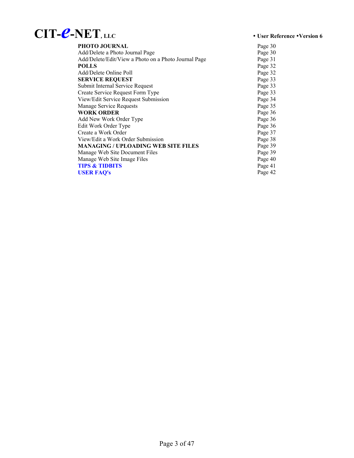# **CIT-***e***-NET***,* **LLC** y **User Reference** y**Version 6**

| <b>PHOTO JOURNAL</b>                                 | Page 30 |
|------------------------------------------------------|---------|
| Add/Delete a Photo Journal Page                      | Page 30 |
| Add/Delete/Edit/View a Photo on a Photo Journal Page | Page 31 |
| <b>POLLS</b>                                         | Page 32 |
| Add/Delete Online Poll                               | Page 32 |
| <b>SERVICE REQUEST</b>                               | Page 33 |
| Submit Internal Service Request                      | Page 33 |
| Create Service Request Form Type                     | Page 33 |
| View/Edit Service Request Submission                 | Page 34 |
| Manage Service Requests                              | Page 35 |
| <b>WORK ORDER</b>                                    | Page 36 |
| Add New Work Order Type                              | Page 36 |
| Edit Work Order Type                                 | Page 36 |
| Create a Work Order                                  | Page 37 |
| View/Edit a Work Order Submission                    | Page 38 |
| MANAGING / UPLOADING WEB SITE FILES                  | Page 39 |
| Manage Web Site Document Files                       | Page 39 |
| Manage Web Site Image Files                          | Page 40 |
| <b>TIPS &amp; TIDBITS</b>                            | Page 41 |
| <b>USER FAO's</b>                                    | Page 42 |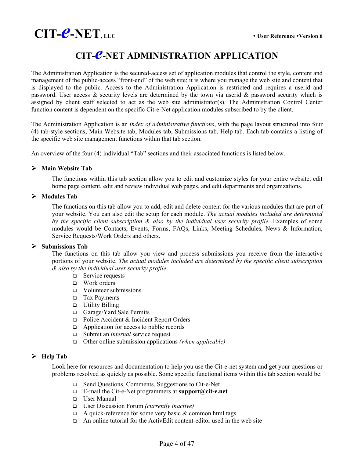

# **CIT-***e***-NET ADMINISTRATION APPLICATION**

The Administration Application is the secured-access set of application modules that control the style, content and management of the public-access "front-end" of the web site; it is where you manage the web site and content that is displayed to the public. Access to the Administration Application is restricted and requires a userid and password. User access & security levels are determined by the town via userid & password security which is assigned by client staff selected to act as the web site administrator(s). The Administration Control Center function content is dependent on the specific Cit-e-Net application modules subscribed to by the client.

The Administration Application is an *index of administrative functions*, with the page layout structured into four (4) tab-style sections; Main Website tab, Modules tab, Submissions tab, Help tab. Each tab contains a listing of the specific web site management functions within that tab section.

An overview of the four (4) individual "Tab" sections and their associated functions is listed below.

### ¾ **Main Website Tab**

The functions within this tab section allow you to edit and customize styles for your entire website, edit home page content, edit and review individual web pages, and edit departments and organizations.

### ¾ **Modules Tab**

The functions on this tab allow you to add, edit and delete content for the various modules that are part of your website. You can also edit the setup for each module. *The actual modules included are determined by the specific client subscription & also by the individual user security profile.* Examples of some modules would be Contacts, Events, Forms, FAQs, Links, Meeting Schedules, News & Information, Service Requests/Work Orders and others.

### ¾ **Submissions Tab**

The functions on this tab allow you view and process submissions you receive from the interactive portions of your website. *The actual modules included are determined by the specific client subscription & also by the individual user security profile.*

- □ Service requests
- □ Work orders
- Volunteer submissions
- Tax Payments
- **u** Utility Billing
- Garage/Yard Sale Permits
- □ Police Accident & Incident Report Orders
- Application for access to public records
- Submit an *internal* service request
- Other online submission applications *(when applicable)*

### ¾ **Help Tab**

Look here for resources and documentation to help you use the Cit-e-net system and get your questions or problems resolved as quickly as possible. Some specific functional items within this tab section would be:

- Send Questions, Comments, Suggestions to Cit-e-Net
- E-mail the Cit-e-Net programmers at **support@cit-e.net**
- User Manual
- User Discussion Forum *(currently inactive)*
- $\Box$  A quick-reference for some very basic & common html tags
- $\Box$  An online tutorial for the ActivEdit content-editor used in the web site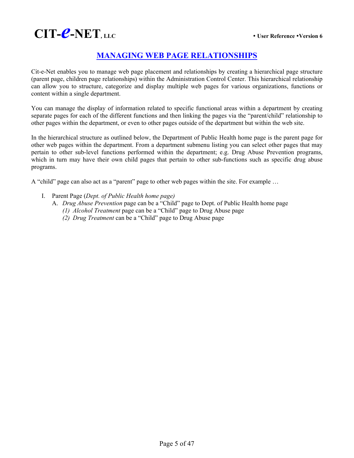# **CIT-C-NET**, LLC *example*  $\cdot$  User Reference  $\cdot$  Version 6

# **MANAGING WEB PAGE RELATIONSHIPS**

Cit-e-Net enables you to manage web page placement and relationships by creating a hierarchical page structure (parent page, children page relationships) within the Administration Control Center. This hierarchical relationship can allow you to structure, categorize and display multiple web pages for various organizations, functions or content within a single department.

You can manage the display of information related to specific functional areas within a department by creating separate pages for each of the different functions and then linking the pages via the "parent/child" relationship to other pages within the department, or even to other pages outside of the department but within the web site.

In the hierarchical structure as outlined below, the Department of Public Health home page is the parent page for other web pages within the department. From a department submenu listing you can select other pages that may pertain to other sub-level functions performed within the department; e.g. Drug Abuse Prevention programs, which in turn may have their own child pages that pertain to other sub-functions such as specific drug abuse programs.

A "child" page can also act as a "parent" page to other web pages within the site. For example …

- I. Parent Page (*Dept. of Public Health home page)*
	- A. *Drug Abuse Prevention* page can be a "Child" page to Dept. of Public Health home page
		- *(1) Alcohol Treatment* page can be a "Child" page to Drug Abuse page
		- *(2) Drug Treatment* can be a "Child" page to Drug Abuse page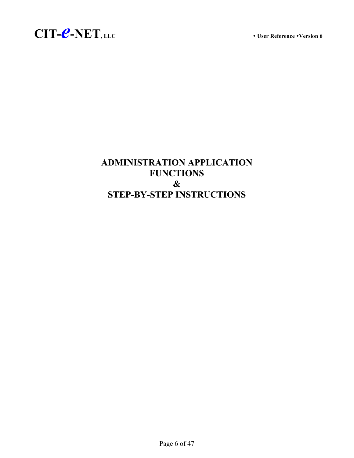



# **ADMINISTRATION APPLICATION FUNCTIONS & STEP-BY-STEP INSTRUCTIONS**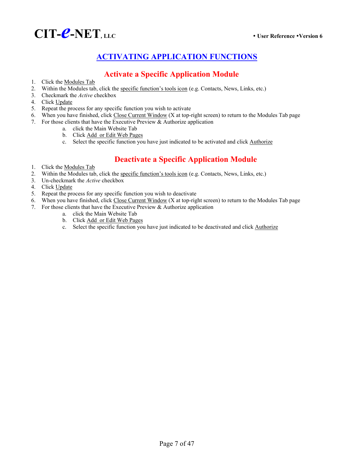

# **ACTIVATING APPLICATION FUNCTIONS**

# **Activate a Specific Application Module**

- 1. Click the Modules Tab
- 2. Within the Modules tab, click the specific function's tools icon (e.g. Contacts, News, Links, etc.)
- 3. Checkmark the *Active* checkbox
- 4. Click Update
- 5. Repeat the process for any specific function you wish to activate
- 6. When you have finished, click Close Current Window (X at top-right screen) to return to the Modules Tab page
- 7. For those clients that have the Executive Preview & Authorize application
	- a. click the Main Website Tab
	- b. Click Add or Edit Web Pages
	- c. Select the specific function you have just indicated to be activated and click Authorize

# **Deactivate a Specific Application Module**

- 1. Click the Modules Tab
- 2. Within the Modules tab, click the specific function's tools icon (e.g. Contacts, News, Links, etc.)
- 3. Un-checkmark the *Active* checkbox
- 4. Click Update
- 5. Repeat the process for any specific function you wish to deactivate
- 6. When you have finished, click Close Current Window (X at top-right screen) to return to the Modules Tab page
- 7. For those clients that have the Executive Preview & Authorize application
	- a. click the Main Website Tab
	- b. Click Add or Edit Web Pages
	- c. Select the specific function you have just indicated to be deactivated and click **Authorize**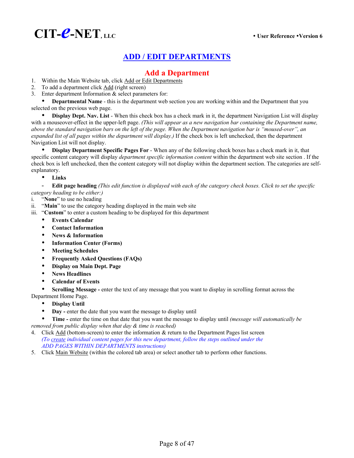

# **Add a Department**

- 1. Within the Main Website tab, click Add or Edit Departments
- 2. To add a department click Add (right screen)
- 3. Enter department Information & select parameters for:

**Departmental Name** - this is the department web section you are working within and the Department that you selected on the previous web page.

**Display Dept. Nav. List** - When this check box has a check mark in it, the department Navigation List will display with a mouseover-effect in the upper-left page. *(This will appear as a new navigation bar containing the Department name, above the standard navigation bars on the left of the page. When the Department navigation bar is "moused-over", an expanded list of all pages within the department will display.)* If the check box is left unchecked, then the department Navigation List will not display.

**Display Department Specific Pages For** - When any of the following check boxes has a check mark in it, that specific content category will display *department specific information content* within the department web site section . If the check box is left unchecked, then the content category will not display within the department section. The categories are selfexplanatory.

y **Links**

- **Edit page heading** *(This edit function is displayed with each of the category check boxes. Click to set the specific category heading to be either:)*

- i. "**None**" to use no heading
- ii. "**Main**" to use the category heading displayed in the main web site
- iii. "**Custom**" to enter a custom heading to be displayed for this department
	- **Events Calendar**
	- **Contact Information**
	- **News & Information**
	- y **Information Center (Forms)**
	- **Meeting Schedules**
	- y **Frequently Asked Questions (FAQs)**
	- **Display on Main Dept. Page**
	- y **News Headlines**
	- **Calendar of Events**

Scrolling Message - enter the text of any message that you want to display in scrolling format across the Department Home Page.

- Display Until
- Day enter the date that you want the message to display until

y **Time -** enter the time on that date that you want the message to display until *(message will automatically be removed from public display when that day & time is reached)*

- 4. Click Add (bottom-screen) to enter the information & return to the Department Pages list screen *(To create individual content pages for this new department, follow the steps outlined under the ADD PAGES WITHIN DEPARTMENTS instructions)*
- 5. Click Main Website (within the colored tab area) or select another tab to perform other functions.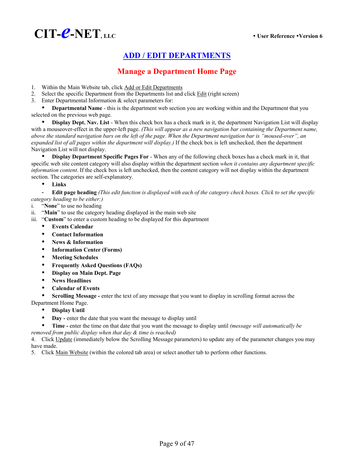

# **Manage a Department Home Page**

- 1. Within the Main Website tab, click Add or Edit Departments
- 2. Select the specific Department from the Departments list and click Edit (right screen)
- 3. Enter Departmental Information & select parameters for:

**Departmental Name** - this is the department web section you are working within and the Department that you selected on the previous web page.

**Display Dept. Nav. List** - When this check box has a check mark in it, the department Navigation List will display with a mouseover-effect in the upper-left page. *(This will appear as a new navigation bar containing the Department name, above the standard navigation bars on the left of the page. When the Department navigation bar is "moused-over", an expanded list of all pages within the department will display.)* If the check box is left unchecked, then the department Navigation List will not display.

**• Display Department Specific Pages For** - When any of the following check boxes has a check mark in it, that specific web site content category will also display within the department section *when it contains any department specific information content*. If the check box is left unchecked, then the content category will not display within the department section. The categories are self-explanatory.

y **Links** 

- **Edit page heading** *(This edit function is displayed with each of the category check boxes. Click to set the specific category heading to be either:)*

- i. "**None**" to use no heading
- ii. "**Main**" to use the category heading displayed in the main web site
- iii. "**Custom**" to enter a custom heading to be displayed for this department
	- **Events Calendar**
	- **Contact Information**
	- News & Information
	- **Information Center (Forms)**
	- y **Meeting Schedules**
	- y **Frequently Asked Questions (FAQs)**
	- y **Display on Main Dept. Page**
	- y **News Headlines**
	- y **Calendar of Events**

**Scrolling Message -** enter the text of any message that you want to display in scrolling format across the

- Department Home Page.
	- **Display Until**
	- Day enter the date that you want the message to display until
	- y **Time -** enter the time on that date that you want the message to display until *(message will automatically be*

*removed from public display when that day & time is reached)*

4. Click Update (immediately below the Scrolling Message parameters) to update any of the parameter changes you may have made.

5. Click Main Website (within the colored tab area) or select another tab to perform other functions.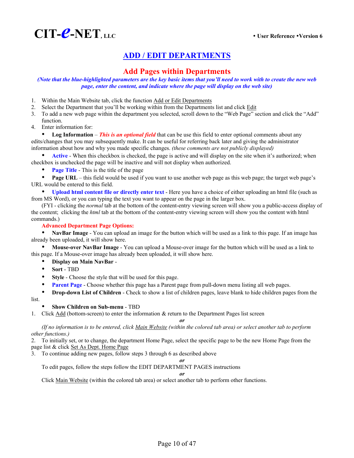

### **Add Pages within Departments**

*(Note that the blue-highlighted parameters are the key basic items that you'll need to work with to create the new web page, enter the content, and indicate where the page will display on the web site)* 

- 1. Within the Main Website tab, click the function Add or Edit Departments
- 2. Select the Department that you'll be working within from the Departments list and click **Edit**
- 3. To add a new web page within the department you selected, scroll down to the "Web Page" section and click the "Add" function.
- 4. Enter information for:

**Log Information** – *This is an optional field* that can be use this field to enter optional comments about any edits/changes that you may subsequently make. It can be useful for referring back later and giving the administrator information about how and why you made specific changes. *(these comments are not publicly displayed)*

Active - When this checkbox is checked, the page is active and will display on the site when it's authorized; when checkbox is unchecked the page will be inactive and will not display when authorized.

**Page Title** - This is the title of the page

**Page URL** – this field would be used if you want to use another web page as this web page; the target web page's URL would be entered to this field.

y **Upload html content file or directly enter text** - Here you have a choice of either uploading an html file (such as from MS Word), or you can typing the text you want to appear on the page in the larger box.

(FYI - clicking the *normal* tab at the bottom of the content-entry viewing screen will show you a public-access display of the content; clicking the *html* tab at the bottom of the content-entry viewing screen will show you the content with html commands.)

### **Advanced Department Page Options:**

**• NavBar Image** - You can upload an image for the button which will be used as a link to this page. If an image has already been uploaded, it will show here.

**Mouse-over NavBar Image** - You can upload a Mouse-over image for the button which will be used as a link to this page. If a Mouse-over image has already been uploaded, it will show here.

- y **Display on Main NavBar** -
- y **Sort** TBD
- **Style** Choose the style that will be used for this page.
- **Parent Page** Choose whether this page has a Parent page from pull-down menu listing all web pages.

**Drop-down List of Children** - Check to show a list of children pages, leave blank to hide children pages from the

list.

### **Show Children on Sub-menu - TBD**

1. Click Add (bottom-screen) to enter the information & return to the Department Pages list screen

*or*

*(If no information is to be entered, click Main Website (within the colored tab area) or select another tab to perform other functions.)* 

2. To initially set, or to change, the department Home Page, select the specific page to be the new Home Page from the page list & click Set As Dept. Home Page

3. To continue adding new pages, follow steps 3 through 6 as described above

*or* To edit pages, follow the steps follow the EDIT DEPARTMENT PAGES instructions

*or*

Click Main Website (within the colored tab area) or select another tab to perform other functions.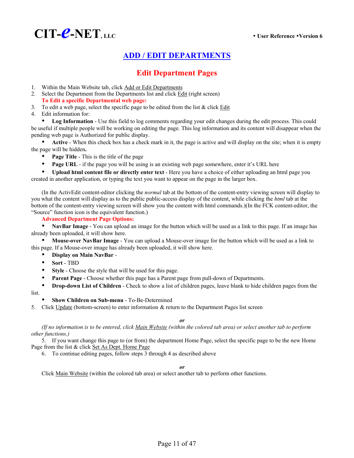

# **Edit Department Pages**

- 1. Within the Main Website tab, click Add or Edit Departments
- 2. Select the Department from the Departments list and click Edit (right screen) **To Edit a specific Departmental web page:**
- 3. To edit a web page, select the specific page to be edited from the list  $&$  click  $E\text{dit}$
- 4. Edit information for:

Log Information - Use this field to log comments regarding your edit changes during the edit process. This could be useful if multiple people will be working on editing the page. This log information and its content will disappear when the pending web page is Authorized for public display.

Active - When this check box has a check mark in it, the page is active and will display on the site; when it is empty the page will be hidden**.** 

- **Page Title** This is the title of the page
- Page URL if the page you will be using is an existing web page somewhere, enter it's URL here

y **Upload html content file or directly enter text** - Here you have a choice of either uploading an html page you created in another application, or typing the text you want to appear on the page in the larger box.

(In the ActivEdit content-editor clicking the *normal* tab at the bottom of the content-entry viewing screen will display to you what the content will display as to the public public-access display of the content, while clicking the *html* tab at the bottom of the content-entry viewing screen will show you the content with html commands.)(In the FCK content-editor, the "Source" function icon is the equivalent function.)

**Advanced Department Page Options:** 

**NavBar Image** - You can upload an image for the button which will be used as a link to this page. If an image has already been uploaded, it will show here.

**Mouse-over NavBar Image** - You can upload a Mouse-over image for the button which will be used as a link to this page. If a Mouse-over image has already been uploaded, it will show here.

### y **Display on Main NavBar** -

- y **Sort** TBD
- Style Choose the style that will be used for this page.
- **Parent Page** Choose whether this page has a Parent page from pull-down of Departments.
- **Drop-down List of Children** Check to show a list of children pages, leave blank to hide children pages from the

list.

- **Show Children on Sub-menu To-Be-Determined**
- 5. Click Update (bottom-screen) to enter information & return to the Department Pages list screen

*or*

*(If no information is to be entered, click Main Website (within the colored tab area) or select another tab to perform other functions.)* 

5. If you want change this page to (or from) the department Home Page, select the specific page to be the new Home Page from the list & click Set As Dept. Home Page

6. To continue editing pages, follow steps 3 through 4 as described above

*or*

Click Main Website (within the colored tab area) or select another tab to perform other functions.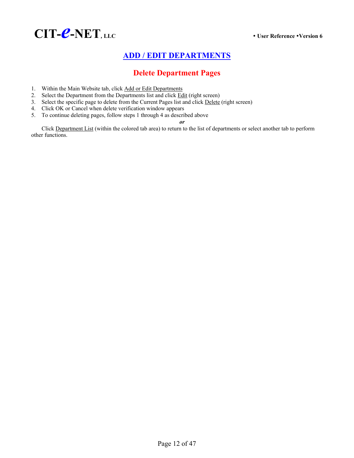

# **Delete Department Pages**

- 1. Within the Main Website tab, click Add or Edit Departments
- 2. Select the Department from the Departments list and click **Edit** (right screen)
- 3. Select the specific page to delete from the Current Pages list and click Delete (right screen)
- 4. Click OK or Cancel when delete verification window appears
- 5. To continue deleting pages, follow steps 1 through 4 as described above

*or*

Click Department List (within the colored tab area) to return to the list of departments or select another tab to perform other functions.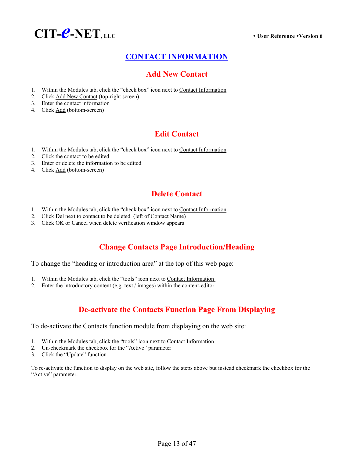

# **CONTACT INFORMATION**

# **Add New Contact**

- 1. Within the Modules tab, click the "check box" icon next to Contact Information
- 2. Click Add New Contact (top-right screen)
- 3. Enter the contact information
- 4. Click Add (bottom-screen)

# **Edit Contact**

- 1. Within the Modules tab, click the "check box" icon next to Contact Information
- 2. Click the contact to be edited
- 3. Enter or delete the information to be edited
- 4. Click Add (bottom-screen)

# **Delete Contact**

- 1. Within the Modules tab, click the "check box" icon next to Contact Information
- 2. Click Del next to contact to be deleted (left of Contact Name)
- 3. Click  $\overline{OK}$  or Cancel when delete verification window appears

# **Change Contacts Page Introduction/Heading**

To change the "heading or introduction area" at the top of this web page:

- 1. Within the Modules tab, click the "tools" icon next to Contact Information
- 2. Enter the introductory content (e.g. text / images) within the content-editor.

# **De-activate the Contacts Function Page From Displaying**

To de-activate the Contacts function module from displaying on the web site:

- 1. Within the Modules tab, click the "tools" icon next to Contact Information
- 2. Un-checkmark the checkbox for the "Active" parameter
- 3. Click the "Update" function

To re-activate the function to display on the web site, follow the steps above but instead checkmark the checkbox for the "Active" parameter.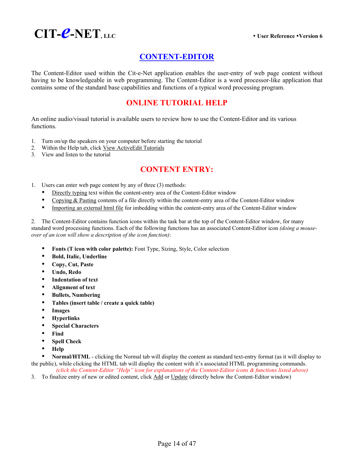

# **CONTENT-EDITOR**

The Content-Editor used within the Cit-e-Net application enables the user-entry of web page content without having to be knowledgeable in web programming. The Content-Editor is a word processor-like application that contains some of the standard base capabilities and functions of a typical word processing program.

# **ONLINE TUTORIAL HELP**

An online audio/visual tutorial is available users to review how to use the Content-Editor and its various functions.

- 1. Turn on/up the speakers on your computer before starting the tutorial
- 2. Within the Help tab, click View ActiveEdit Tutorials
- 3. View and listen to the tutorial

# **CONTENT ENTRY:**

- 1. Users can enter web page content by any of three (3) methods:
	- Directly typing text within the content-entry area of the Content-Editor window
	- Copying & Pasting contents of a file directly within the content-entry area of the Content-Editor window
	- Importing an external html file for imbedding within the content-entry area of the Content-Editor window

2. The Content-Editor contains function icons within the task bar at the top of the Content-Editor window, for many standard word processing functions. Each of the following functions has an associated Content-Editor icon *(doing a mouseover of an icon will show a description of the icon function)*:

- **Fonts (T icon with color palette):** Font Type, Sizing, Style, Color selection
- y **Bold, Italic, Underline**
- y **Copy, Cut, Paste**
- y **Undo, Redo**
- y **Indentation of text**
- y **Alignment of text**
- **•** Bullets, Numbering
- y **Tables (insert table / create a quick table)**
- **Images**
- y **Hyperlinks**
- **Special Characters**
- y **Find**
- **•** Spell Check
- y **Help**

**Normal/HTML** - clicking the Normal tab will display the content as standard text-entry format (as it will display to the public), while clicking the HTML tab will display the content with it's associated HTML programming commands.

*(click the Content-Editor "Help" icon for explanations of the Content-Editor icons & functions listed above)*

3. To finalize entry of new or edited content, click Add or Update (directly below the Content-Editor window)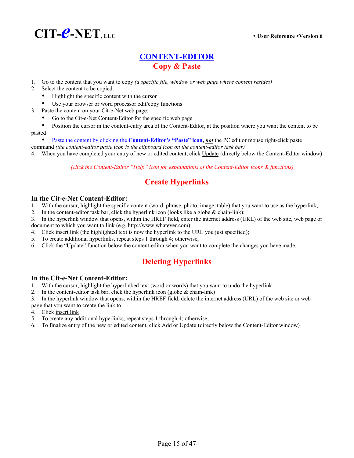

# **CONTENT-EDITOR Copy & Paste**

- 1. Go to the content that you want to copy *(a specific file, window or web page where content resides)*
- 2. Select the content to be copied:
	- Highlight the specific content with the cursor
	- Use your browser or word processor edit/copy functions
- 3. Paste the content on your Cit-e-Net web page:
	- Go to the Cit-e-Net Content-Editor for the specific web page
- Position the cursor in the content-entry area of the Content-Editor, at the position where you want the content to be pasted
	- Paste the content by clicking the **Content-Editor's "Paste" icon, <u>not</u>** the PC edit or mouse right-click paste
- command *(the content-editor paste icon is the clipboard icon on the content-editor task bar)*
- 4. When you have completed your entry of new or edited content, click Update (directly below the Content-Editor window)

*(click the Content-Editor "Help" icon for explanations of the Content-Editor icons & functions)* 

# **Create Hyperlinks**

- **In the Cit-e-Net Content-Editor:**<br>1. With the cursor, highlight the specific content (word, phrase, photo, image, table) that you want to use as the hyperlink;
- 2. In the content-editor task bar, click the hyperlink icon (looks like a globe  $\&$  chain-link);

3. In the hyperlink window that opens, within the HREF field, enter the internet address (URL) of the web site, web page or document to which you want to link (e.g. http://www.whatever.com);

- 4. Click <u>insert link</u> (the highlighted text is now the hyperlink to the URL you just specified);
- 5. To create additional hyperlinks, repeat steps 1 through 4; otherwise,
- 6. Click the "Update" function below the content-editor when you want to complete the changes you have made.

# **Deleting Hyperlinks**

- **In the Cit-e-Net Content-Editor:**<br>1. With the cursor, highlight the hyperlinked text (word or words) that you want to undo the hyperlink
- 2. In the content-editor task bar, click the hyperlink icon (globe  $\&$  chain-link)

3. In the hyperlink window that opens, within the HREF field, delete the internet address (URL) of the web site or web

- page that you want to create the link to
- 4. Click insert link
- 5. To create any additional hyperlinks, repeat steps 1 through 4; otherwise,
- 6. To finalize entry of the new or edited content, click Add or Update (directly below the Content-Editor window)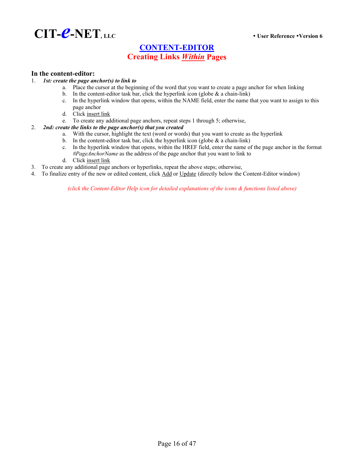

# **CONTENT-EDITOR Creating Links** *Within* **Pages**

# **In the content-editor:** 1. *1st: create the page anchor(s) to link to*

- a. Place the cursor at the beginning of the word that you want to create a page anchor for when linking
- b. In the content-editor task bar, click the hyperlink icon (globe  $\&$  a chain-link)
- c. In the hyperlink window that opens, within the NAME field, enter the name that you want to assign to this page anchor
- d. Click insert link
- e. To create any additional page anchors, repeat steps 1 through 5; otherwise,

#### 2. *2nd: create the links to the page anchor(s) that you created*

- a. With the cursor, highlight the text (word or words) that you want to create as the hyperlink
- b. In the content-editor task bar, click the hyperlink icon (globe  $\&$  a chain-link)
- c. In the hyperlink window that opens, within the HREF field, enter the name of the page anchor in the format *#PageAnchorName* as the address of the page anchor that you want to link to
- d. Click insert link
- 3. To create any additional page anchors or hyperlinks, repeat the above steps; otherwise,
- 4. To finalize entry of the new or edited content, click Add or Update (directly below the Content-Editor window)

*(click the Content-Editor Help icon for detailed explanations of the icons & functions listed above)*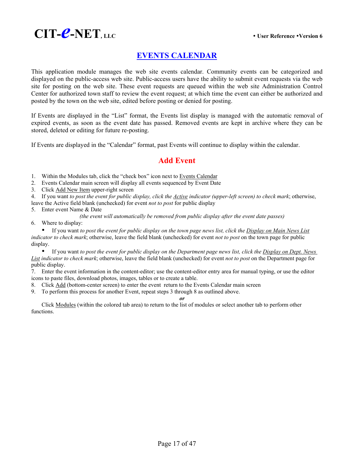

# **EVENTS CALENDAR**

This application module manages the web site events calendar. Community events can be categorized and displayed on the public-access web site. Public-access users have the ability to submit event requests via the web site for posting on the web site. These event requests are queued within the web site Administration Control Center for authorized town staff to review the event request; at which time the event can either be authorized and posted by the town on the web site, edited before posting or denied for posting.

If Events are displayed in the "List" format, the Events list display is managed with the automatic removal of expired events, as soon as the event date has passed. Removed events are kept in archive where they can be stored, deleted or editing for future re-posting.

If Events are displayed in the "Calendar" format, past Events will continue to display within the calendar.

### **Add Event**

1. Within the Modules tab, click the "check box" icon next to Events Calendar

2. Events Calendar main screen will display all events sequenced by Event Date

3. Click Add New Item upper-right screen

4. If you want *to post the event for public display, click the Active indicator (upper-left screen) to check mark*; otherwise,

leave the Active field blank (unchecked) for event *not to post* for public display 5. Enter event Name & Date

*(the event will automatically be removed from public display after the event date passes)*

6. Where to display:

y If you want *to post the event for public display on the town page news list, click the Display on Main News List indicator to check mark*; otherwise, leave the field blank (unchecked) for event *not to post* on the town page for public display.

y If you want *to post the event for public display on the Department page news list, click the Display on Dept. News List indicator to check mark*; otherwise, leave the field blank (unchecked) for event *not to post* on the Department page for public display.

7. Enter the event information in the content-editor; use the content-editor entry area for manual typing, or use the editor icons to paste files, download photos, images, tables or to create a table.

8. Click Add (bottom-center screen) to enter the event return to the Events Calendar main screen

9. To perform this process for another Event, repeat steps 3 through 8 as outlined above.

*or*

Click Modules (within the colored tab area) to return to the list of modules or select another tab to perform other functions.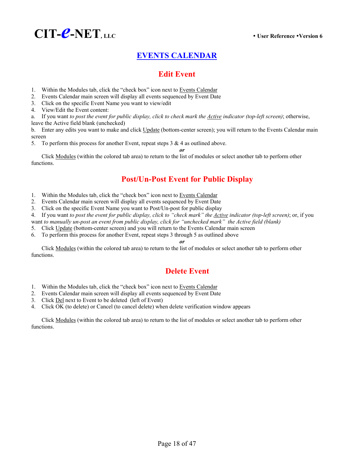

# **EVENTS CALENDAR**

# **Edit Event**

- 1. Within the Modules tab, click the "check box" icon next to Events Calendar
- 2. Events Calendar main screen will display all events sequenced by Event Date
- 3. Click on the specific Event Name you want to view/edit
- 4. View/Edit the Event content:

a. If you want *to post the event for public display, click to check mark the Active indicator (top-left screen)*; otherwise, leave the Active field blank (unchecked)

b. Enter any edits you want to make and click Update (bottom-center screen); you will return to the Events Calendar main screen

*or*

5. To perform this process for another Event, repeat steps  $3 \& 4$  as outlined above.

Click Modules (within the colored tab area) to return to the list of modules or select another tab to perform other functions.

# **Post/Un-Post Event for Public Display**

- 1. Within the Modules tab, click the "check box" icon next to Events Calendar
- 2. Events Calendar main screen will display all events sequenced by Event Date
- 3. Click on the specific Event Name you want to Post/Un-post for public display

4. If you want *to post the event for public display, click to "check mark" the Active indicator (top-left screen)*; or, if you

want *to manually un-post an event from public display, click for "unchecked mark" the Active field (blank)*

- 5. Click Update (bottom-center screen) and you will return to the Events Calendar main screen
- 6. To perform this process for another Event, repeat steps 3 through 5 as outlined above

### *or*

Click Modules (within the colored tab area) to return to the list of modules or select another tab to perform other functions.

# **Delete Event**

- 1. Within the Modules tab, click the "check box" icon next to Events Calendar
- 2. Events Calendar main screen will display all events sequenced by Event Date
- 3. Click Del next to Event to be deleted (left of Event)
- 4. Click OK (to delete) or Cancel (to cancel delete) when delete verification window appears

Click Modules (within the colored tab area) to return to the list of modules or select another tab to perform other functions.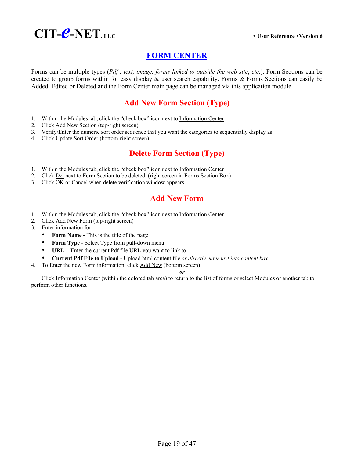

# **FORM CENTER**

Forms can be multiple types (*Pdf , text, image, forms linked to outside the web site*, *etc.*). Form Sections can be created to group forms within for easy display  $\&$  user search capability. Forms  $\&$  Forms Sections can easily be Added, Edited or Deleted and the Form Center main page can be managed via this application module.

# **Add New Form Section (Type)**

- 1. Within the Modules tab, click the "check box" icon next to Information Center
- 2. Click Add New Section (top-right screen)
- 3. Verify/Enter the numeric sort order sequence that you want the categories to sequentially display as
- 4. Click Update Sort Order (bottom-right screen)

# **Delete Form Section (Type)**

- 1. Within the Modules tab, click the "check box" icon next to Information Center
- 2. Click Del next to Form Section to be deleted (right screen in Forms Section Box)
- 3. Click OK or Cancel when delete verification window appears

### **Add New Form**

- 1. Within the Modules tab, click the "check box" icon next to Information Center
- 2. Click Add New Form (top-right screen)
- 3. Enter information for:
	- Form Name This is the title of the page
	- **Form Type** Select Type from pull-down menu
	- URL Enter the current Pdf file URL you want to link to
	- y **Current Pdf File to Upload** Upload html content file *or directly enter text into content box*
- 4. To Enter the new Form information, click Add New (bottom screen)

*or*

Click Information Center (within the colored tab area) to return to the list of forms or select Modules or another tab to perform other functions.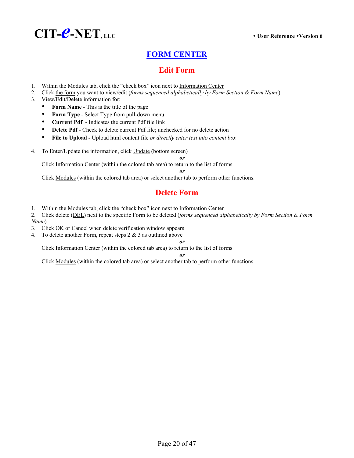

# **FORM CENTER**

## **Edit Form**

- 1. Within the Modules tab, click the "check box" icon next to Information Center
- 2. Click the form you want to view/edit (*forms sequenced alphabetically by Form Section & Form Name*)
- 3. View/Edit/Delete information for:
	- **Form Name** This is the title of the page
	- y **Form Type** Select Type from pull-down menu
	- **Current Pdf** Indicates the current Pdf file link
	- **Delete Pdf** Check to delete current Pdf file; unchecked for no delete action
	- y **File to Upload** Upload html content file *or directly enter text into content box*
- 4. To Enter/Update the information, click Update (bottom screen)

Click Information Center (within the colored tab area) to return to the list of forms

*or* 

*or*

Click Modules (within the colored tab area) or select another tab to perform other functions.

# **Delete Form**

1. Within the Modules tab, click the "check box" icon next to Information Center

2. Click delete (DEL) next to the specific Form to be deleted (*forms sequenced alphabetically by Form Section & Form Name*)

- 3. Click OK or Cancel when delete verification window appears
- 4. To delete another Form, repeat steps 2 & 3 as outlined above

*or*

Click Information Center (within the colored tab area) to return to the list of forms

#### *or*

Click Modules (within the colored tab area) or select another tab to perform other functions.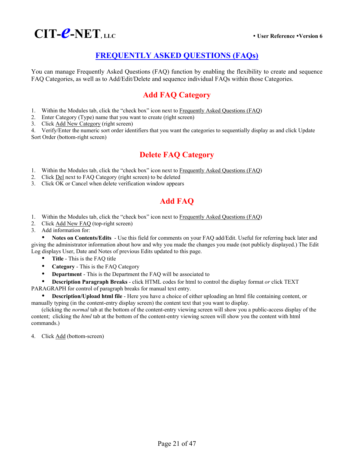

# **FREQUENTLY ASKED QUESTIONS (FAQs)**

You can manage Frequently Asked Questions (FAQ) function by enabling the flexibility to create and sequence FAQ Categories, as well as to Add/Edit/Delete and sequence individual FAQs within those Categories.

# **Add FAQ Category**

- 1. Within the Modules tab, click the "check box" icon next to Frequently Asked Questions (FAQ)
- 2. Enter Category (Type) name that you want to create (right screen)
- 3. Click Add New Category (right screen)

4. Verify/Enter the numeric sort order identifiers that you want the categories to sequentially display as and click Update Sort Order (bottom-right screen)

# **Delete FAQ Category**

- 1. Within the Modules tab, click the "check box" icon next to Frequently Asked Questions (FAQ)
- 2. Click Del next to FAQ Category (right screen) to be deleted
- 3. Click OK or Cancel when delete verification window appears

# **Add FAQ**

- 1. Within the Modules tab, click the "check box" icon next to Frequently Asked Questions (FAQ)
- 2. Click Add New FAQ (top-right screen)

3. Add information for:

Notes on Contents/Edits - Use this field for comments on your FAQ add/Edit. Useful for referring back later and giving the administrator information about how and why you made the changes you made (not publicly displayed.) The Edit Log displays User, Date and Notes of previous Edits updated to this page.

- **Title** This is the FAQ title
- **Category** This is the FAQ Category
- **Department** This is the Department the FAQ will be associated to

**Description Paragraph Breaks** - click HTML codes for html to control the display format *or* click TEXT PARAGRAPH for control of paragraph breaks for manual text entry.

**Description/Upload html file** - Here you have a choice of either uploading an html file containing content, or manually typing (in the content-entry display screen) the content text that you want to display.

(clicking the *normal* tab at the bottom of the content-entry viewing screen will show you a public-access display of the content; clicking the *html* tab at the bottom of the content-entry viewing screen will show you the content with html commands.)

4. Click Add (bottom-screen)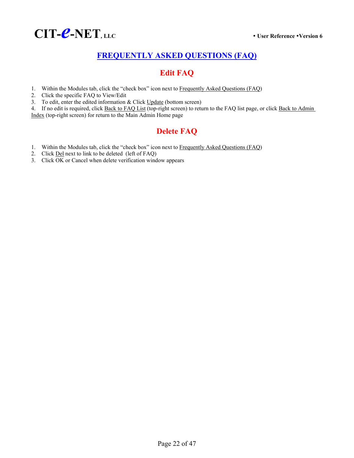

# **FREQUENTLY ASKED QUESTIONS (FAQ)**

# **Edit FAQ**

- 1. Within the Modules tab, click the "check box" icon next to Frequently Asked Questions (FAQ)
- 2. Click the specific FAQ to View/Edit
- 3. To edit, enter the edited information & Click Update (bottom screen)

4. If no edit is required, click Back to FAQ List (top-right screen) to return to the FAQ list page, or click Back to Admin Index (top-right screen) for return to the Main Admin Home page

# **Delete FAQ**

- 1. Within the Modules tab, click the "check box" icon next to Frequently Asked Questions (FAQ)
- 2. Click Del next to link to be deleted (left of FAQ)
- 3. Click OK or Cancel when delete verification window appears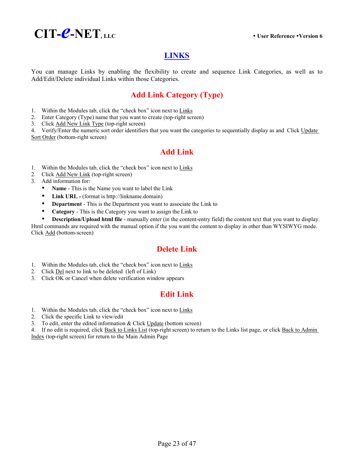

# **LINKS**

You can manage Links by enabling the flexibility to create and sequence Link Categories, as well as to Add/Edit/Delete individual Links within those Categories.

# **Add Link Category (Type)**

- 1. Within the Modules tab, click the "check box" icon next to Links
- 2. Enter Category (Type) name that you want to create (top-right screen)
- 3. Click Add New Link Type (top-right screen)

4. Verify/Enter the numeric sort order identifiers that you want the categories to sequentially display as and Click Update Sort Order (bottom-right screen)

# **Add Link**

- 1. Within the Modules tab, click the "check box" icon next to Links
- 2. Click Add New Link (top-right screen)
- 3. Add information for:
	- Name This is the Name you want to label the Link
	- Link URL (format is http://linkname.domain)
	- **Department** This is the Department you want to associate the Link to
	- **Category** This is the Category you want to assign the Link to
	- **Description/Upload html file** manually enter (in the content-entry field) the content text that you want to display.

Html commands are required with the manual option if the you want the content to display in other than WYSIWYG mode. Click Add (bottom-screen)

# **Delete Link**

- 1. Within the Modules tab, click the "check box" icon next to Links
- 2. Click Del next to link to be deleted (left of Link)
- 3. Click OK or Cancel when delete verification window appears

# **Edit Link**

- 1. Within the Modules tab, click the "check box" icon next to Links
- 2. Click the specific Link to view/edit
- 3. To edit, enter the edited information & Click Update (bottom screen)

4. If no edit is required, click Back to Links List (top-right screen) to return to the Links list page, or click Back to Admin Index (top-right screen) for return to the Main Admin Page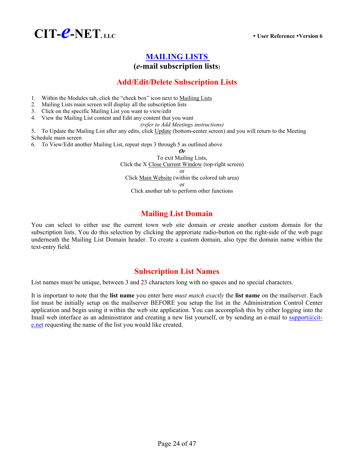

# **MAILING LISTS**

# **(***e***-mail subscription lists**)

# **Add/Edit/Delete Subscription Lists**

- 1. Within the Modules tab, click the "check box" icon next to Mailiing Lists
- 2. Mailing Lists main screen will display all the subscription lists
- 3. Click on the specific Mailing List you want to view/edit
- 4. View the Mailing List content and Edit any content that you want
	- *(refer to Add Meetings instructions)*

5. To Update the Mailing List after any edits, click Update (bottom-center screen) and you will return to the Meeting Schedule main screen

6. To View/Edit another Mailing List, repeat steps 3 through 5 as outlined above

*Or*  To exit Mailing Lists, Click the X Close Current Window (top-right screen) or Click Main Website (within the colored tab area) or Click another tab to perform other functions

# **Mailing List Domain**

You can select to either use the current town web site domain or create another custom domain for the subscription lists. You do this selection by clicking the approriate radio-button on the right-side of the web page underneath the Mailing List Domain header. To create a custom domain, also type the domain name within the text-entry field.

# **Subscription List Names**

List names must be unique, between 3 and 23 characters long with no spaces and no special characters.

It is important to note that the **list name** you enter here *must match exactly* the **list name** on the mailserver. Each list must be initially setup on the mailserver BEFORE you setup the list in the Administration Control Center application and begin using it within the web site application. You can accomplish this by either logging into the Imail web interface as an administrator and creating a new list yourself, or by sending an e-mail to support@cite.net requesting the name of the list you would like created.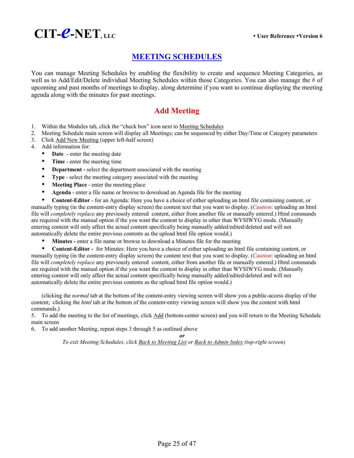

# **MEETING SCHEDULES**

You can manage Meeting Schedules by enabling the flexibility to create and sequence Meeting Categories, as well as to Add/Edit/Delete individual Meeting Schedules within those Categories. You can also manage the # of upcoming and past months of meetings to display, along determine if you want to continue displaying the meeting agenda along with the minutes for past meetings.

# **Add Meeting**

- 1. Within the Modules tab, click the "check box" icon next to Meeting Schedules
- 2. Meeting Schedule main screen will display all Meetings; can be sequenced by either Day/Time or Category parameters
- 3. Click Add New Meeting (upper left-half screen)
- 4. Add information for:
	- **Date** enter the meeting date
	- **Time** enter the meeting time
	- **Department** select the department associated with the meeting
	- **Type** select the meeting category associated with the meeting
	- **Meeting Place** enter the meeting place
	- y **Agenda**  enter a file name or browse to download an Agenda file for the meeting

**Content-Editor** - for an Agenda: Here you have a choice of either uploading an html file containing content, or manually typing (in the content-entry display screen) the content text that you want to display. (*Caution*: uploading an html file will *completely replace* any previously entered content, either from another file or manually entered.) Html commands are required with the manual option if the you want the content to display in other than WYSIWYG mode. (Manually entering content will only affect the actual content specifically being manually added/edited/deleted and will not automatically delete the entire previous contents as the upload html file option would.)

Minutes - enter a file name or browse to download a Minutes file for the meeting

• **Content-Editor** - for Minutes: Here you have a choice of either uploading an html file containing content, or manually typing (in the content-entry display screen) the content text that you want to display. (*Caution*: uploading an html file will *completely replace* any previously entered content, either from another file or manually entered.) Html commands are required with the manual option if the you want the content to display in other than WYSIWYG mode. (Manually entering content will only affect the actual content specifically being manually added/edited/deleted and will not automatically delete the entire previous contents as the upload html file option would.)

(clicking the *normal* tab at the bottom of the content-entry viewing screen will show you a public-access display of the content; clicking the *html* tab at the bottom of the content-entry viewing screen will show you the content with html commands.)

5. To add the meeting to the list of meetings, click Add (bottom-center screen) and you will return to the Meeting Schedule main screen

6. To add another Meeting, repeat steps 3 through 5 as outlined above

*or To exit Meeting Schedules, click Back to Meeting List or Back to Admin Index (top-right screen)*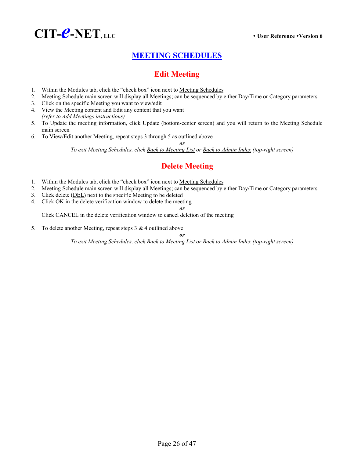

# **MEETING SCHEDULES**

# **Edit Meeting**

- 1. Within the Modules tab, click the "check box" icon next to Meeting Schedules
- 2. Meeting Schedule main screen will display all Meetings; can be sequenced by either Day/Time or Category parameters
- 3. Click on the specific Meeting you want to view/edit
- 4. View the Meeting content and Edit any content that you want *(refer to Add Meetings instructions)*
- 5. To Update the meeting information, click Update (bottom-center screen) and you will return to the Meeting Schedule main screen
- 6. To View/Edit another Meeting, repeat steps 3 through 5 as outlined above

*or*

*To exit Meeting Schedules, click Back to Meeting List or Back to Admin Index (top-right screen)* 

# **Delete Meeting**

- 1. Within the Modules tab, click the "check box" icon next to Meeting Schedules
- 2. Meeting Schedule main screen will display all Meetings; can be sequenced by either Day/Time or Category parameters
- 3. Click delete (DEL) next to the specific Meeting to be deleted
- 4. Click OK in the delete verification window to delete the meeting

*or* Click CANCEL in the delete verification window to cancel deletion of the meeting

5. To delete another Meeting, repeat steps  $3 \& 4$  outlined above

*or To exit Meeting Schedules, click Back to Meeting List or Back to Admin Index (top-right screen)*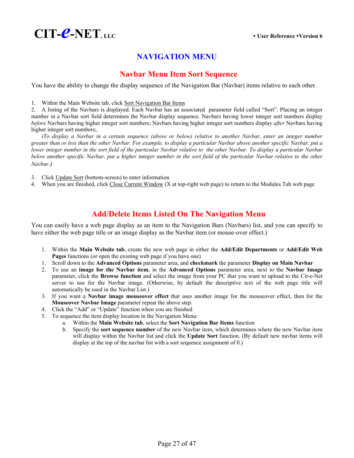

# **NAVIGATION MENU**

### **Navbar Menu Item Sort Sequence**

You have the ability to change the display sequence of the Navigation Bar (Navbar) items relative to each other.

1. Within the Main Website tab, click Sort Navigation Bar Items

2. A listing of the Navbars is displayed. Each Navbar has an associated parameter field called "Sort". Placing an integer number in a Navbar sort field determines the Navbar display sequence. Navbars having lower integer sort numbers display *before* Navbars having higher integer sort numbers; Navbars having higher integer sort numbers display *after* Navbars having higher integer sort numbers;.

*(To display a Navbar in a certain sequence (above or below) relative to another Navbar, enter an integer number greater than or less than the other Navbar. For example, to display a particular Navbar above another specific Navbar, put a lower integer number in the sort field of the particular Navbar relative to the other Navbar. To display a particular Navbar below another specific Navbar, put a higher integer number in the sort field of the particular Navbar relative to the other Navbar.)*

3. Click Update Sort (bottom-screen) to enter information

4. When you are finished, click Close Current Window (X at top-right web page) to return to the Modules Tab web page

# **Add/Delete Items Listed On The Navigation Menu**

You can easily have a web page display as an item to the Navigation Bars (Navbars) list, and you can specify to have either the web page title or an image display as the Navbar item (or mouse-over effect.)

- 1. Within the **Main Website tab**, create the new web page in either the **Add/Edit Departments** or **Add/Edit Web Pages** functions (or open the existing web page if you have one)
- 1. Scroll down to the **Advanced Options** parameter area, and **checkmark** the parameter **Display on Main Navbar**
- 2. To use an **image for the Navbar item**, in the **Advanced Options** parameter area, next to the **Navbar Image** parameter, click the **Browse function** and select the image from your PC that you want to upload to the Cit-e-Net server to use for the Navbar image. (Otherwise, by default the descriptive text of the web page title will automatically be used in the Navbar List.)
- 3. If you want a **Navbar image mouseover effect** that uses another image for the mouseover effect, then for the **Mouseover Navbar Image** parameter repeat the above step.
- 4. Click the "Add" or "Update" function when you are finished
- 5. To sequence the item display location in the Navigation Menu:
	- a. Within the **Main Website tab**, select the **Sort Navigation Bar Items** function
	- b. Specify the **sort sequence number** of the new Navbar item, which determines where the new Navbar item will display within the Navbar list and click the **Update Sort** function. (By default new navbar items will display at the top of the navbar list with a sort sequence assignment of 0.)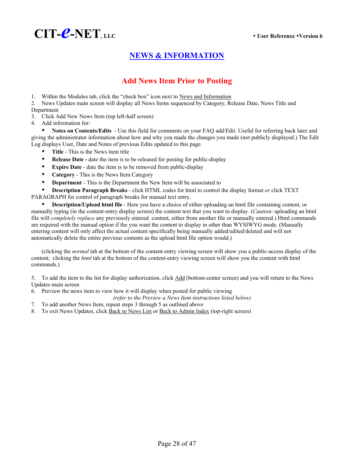

# **NEWS & INFORMATION**

# **Add News Item Prior to Posting**

1. Within the Modules tab, click the "check box" icon next to News and Information

2. News Updates main screen will display all News Items sequenced by Category, Release Date, News Title and Department

3. Click Add New News Item (top left-half screen)

4. Add information for:

Notes on Contents/Edits - Use this field for comments on your FAQ add/Edit. Useful for referring back later and giving the administrator information about how and why you made the changes you made (not publicly displayed.) The Edit Log displays User, Date and Notes of previous Edits updated to this page.

- **Title** This is the News item title
- **Release Date date the item is to be released for posting for public-display**
- **Expire Date** date the item is to be removed from public-display
- **Category** This is the News Item Category
- **Department** This is the Department the New Item will be associated to

**Description Paragraph Breaks** - click HTML codes for html to control the display format *or* click TEXT

PARAGRAPH for control of paragraph breaks for manual text entry.

**Description/Upload html file** - Here you have a choice of either uploading an html file containing content, or manually typing (in the content-entry display screen) the content text that you want to display. (*Caution*: uploading an html file will *completely replace* any previously entered content, either from another file or manually entered.) Html commands are required with the manual option if the you want the content to display in other than WYSIWYG mode. (Manually entering content will only affect the actual content specifically being manually added/edited/deleted and will not automatically delete the entire previous contents as the upload html file option would.)

(clicking the *normal* tab at the bottom of the content-entry viewing screen will show you a public-access display of the content; clicking the *html* tab at the bottom of the content-entry viewing screen will show you the content with html commands.)

5. To add the item to the list for display authorization, click Add (bottom-center screen) and you will return to the News Updates main screen

6. Preview the news item to view how it will display when posted for public viewing

*(refer to the Preview a News Item instructions listed below)* 

- 7. To add another News Item, repeat steps 3 through 5 as outlined above
- 8. To exit News Updates, click Back to News List or Back to Admin Index (top-right screen)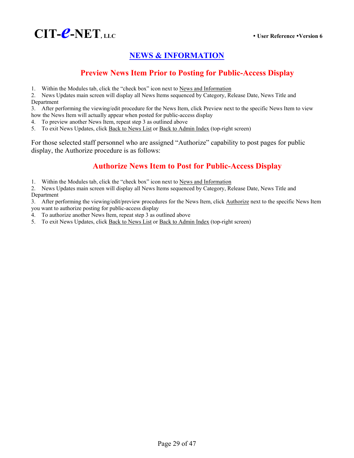

# **NEWS & INFORMATION**

# **Preview News Item Prior to Posting for Public-Access Display**

1. Within the Modules tab, click the "check box" icon next to News and Information

2. News Updates main screen will display all News Items sequenced by Category, Release Date, News Title and Department

3. After performing the viewing/edit procedure for the News Item, click Preview next to the specific News Item to view how the News Item will actually appear when posted for public-access display

4. To preview another News Item, repeat step 3 as outlined above

5. To exit News Updates, click Back to News List or Back to Admin Index (top-right screen)

For those selected staff personnel who are assigned "Authorize" capability to post pages for public display, the Authorize procedure is as follows:

# **Authorize News Item to Post for Public-Access Display**

1. Within the Modules tab, click the "check box" icon next to News and Information

2. News Updates main screen will display all News Items sequenced by Category, Release Date, News Title and Department

3. After performing the viewing/edit/preview procedures for the News Item, click Authorize next to the specific News Item you want to authorize posting for public-access display

- 4. To authorize another News Item, repeat step 3 as outlined above
- 5. To exit News Updates, click Back to News List or Back to Admin Index (top-right screen)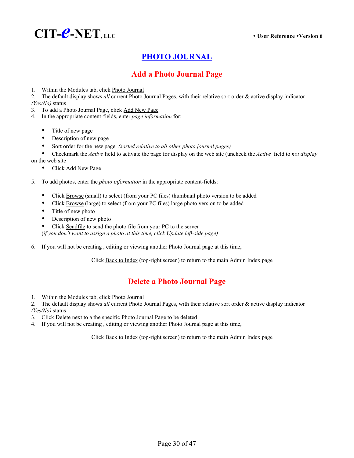

# **PHOTO JOURNAL**

# **Add a Photo Journal Page**

1. Within the Modules tab, click Photo Journal

2. The default display shows *all* current Photo Journal Pages, with their relative sort order & active display indicator *(Yes/No)* status

- 3. To add a Photo Journal Page, click Add New Page
- 4. In the appropriate content-fields, enter *page information* for:
	- Title of new page
	- Description of new page
	- Sort order for the new page *(sorted relative to all other photo journal pages)*
	- y Checkmark the *Active* field to activate the page for display on the web site (uncheck the *Active* field to *not display*

on the web site

- Click Add New Page
- 5. To add photos, enter the *photo information* in the appropriate content-fields:
	- Click Browse (small) to select (from your PC files) thumbnail photo version to be added
	- Click Browse (large) to select (from your PC files) large photo version to be added
	- $\bullet$  Title of new photo
	- Description of new photo
	- Click Sendfile to send the photo file from your PC to the server

(*if you don't want to assign a photo at this time, click Update left-side page)*

6. If you will not be creating , editing or viewing another Photo Journal page at this time,

Click Back to Index (top-right screen) to return to the main Admin Index page

# **Delete a Photo Journal Page**

1. Within the Modules tab, click Photo Journal

2. The default display shows *all* current Photo Journal Pages, with their relative sort order & active display indicator *(Yes/No)* status

- 3. Click Delete next to a the specific Photo Journal Page to be deleted
- 4. If you will not be creating , editing or viewing another Photo Journal page at this time,

Click Back to Index (top-right screen) to return to the main Admin Index page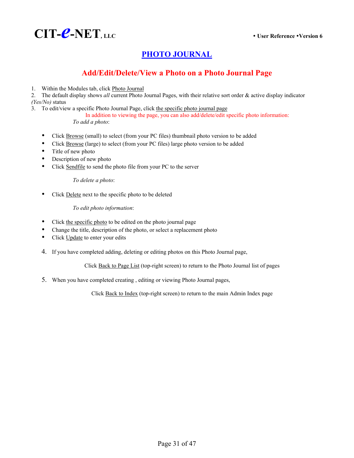# **PHOTO JOURNAL**

# **Add/Edit/Delete/View a Photo on a Photo Journal Page**

1. Within the Modules tab, click Photo Journal

2. The default display shows *all* current Photo Journal Pages, with their relative sort order & active display indicator *(Yes/No)* status

3. To edit/view a specific Photo Journal Page, click the specific photo journal page

In addition to viewing the page, you can also add/delete/edit specific photo information: *To add a photo*:

- Click Browse (small) to select (from your PC files) thumbnail photo version to be added
- Click Browse (large) to select (from your PC files) large photo version to be added
- Title of new photo
- Description of new photo
- Click Sendfile to send the photo file from your PC to the server

 *To delete a photo*:

• Click Delete next to the specific photo to be deleted

 *To edit photo information*:

- Click the specific photo to be edited on the photo journal page
- Change the title, description of the photo, or select a replacement photo
- Click Update to enter your edits
- 4. If you have completed adding, deleting or editing photos on this Photo Journal page,

Click Back to Page List (top-right screen) to return to the Photo Journal list of pages

5. When you have completed creating , editing or viewing Photo Journal pages,

Click Back to Index (top-right screen) to return to the main Admin Index page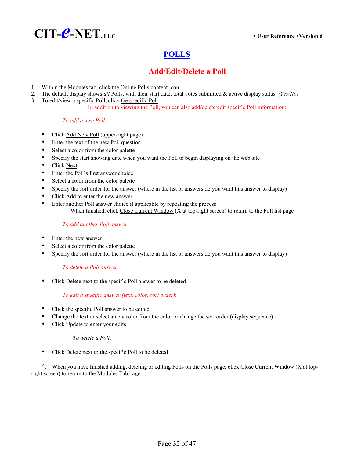

# **POLLS**

# **Add/Edit/Delete a Poll**

- 1. Within the Modules tab, click the Online Polls content icon
- 2. The default display shows *all* Polls, with their start date, total votes submitted & active display status *(Yes/No)*
- 3. To edit/view a specific Poll, click the specific Poll

In addition to viewing the Poll, you can also add/delete/edit specific Poll information:

### *To add a new Poll*:

- Click Add New Poll (upper-right page)
- Enter the text of the new Poll question
- Select a color from the color palette
- Specify the start showing date when you want the Poll to begin displaying on the web site
- **Click Next**
- Enter the Poll's first answer choice
- Select a color from the color palette
- Specify the sort order for the answer (where in the list of answers do you want this answer to display)
- Click Add to enter the new answer
- Enter another Poll answer choice if applicable by repeating the process When finished, click Close Current Window (X at top-right screen) to return to the Poll list page

### *To add another Poll answer*:

- Enter the new answer
- Select a color from the color palette
- Specify the sort order for the answer (where in the list of answers do you want this answer to display)

### *To delete a Poll answer*:

Click Delete next to the specific Poll answer to be deleted

### *To edit a specific answer (text, color, sort order)*:

- Click the specific Poll answer to be edited
- Change the text or select a new color from the color or change the sort order (display sequence)
- Click Update to enter your edits

### *To delete a Poll*:

• Click Delete next to the specific Poll to be deleted

4. When you have finished adding, deleting or editing Polls on the Polls page, click Close Current Window (X at topright screen) to return to the Modules Tab page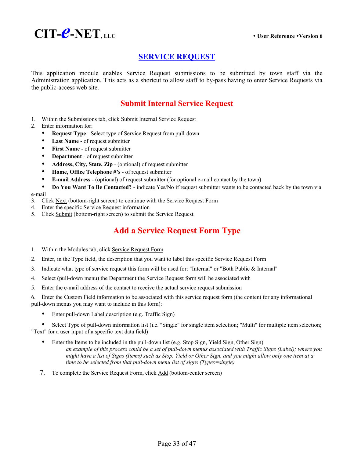

# **SERVICE REQUEST**

This application module enables Service Request submissions to be submitted by town staff via the Administration application. This acts as a shortcut to allow staff to by-pass having to enter Service Requests via the public-access web site.

# **Submit Internal Service Request**

- 1. Within the Submissions tab, click Submit Internal Service Request
- 2. Enter information for:
	- **Request Type** Select type of Service Request from pull-down
	- Last Name of request submitter
	- **First Name** of request submitter
	- **Department** of request submitter
	- Address, City, State, Zip (optional) of request submitter
	- **•** Home, Office Telephone #'s of request submitter
	- y **E-mail Address** (optional) of request submitter (for optional e-mail contact by the town)
- Do You Want To Be Contacted? indicate Yes/No if request submitter wants to be contacted back by the town via e-mail
- 3. Click Next (bottom-right screen) to continue with the Service Request Form
- 4. Enter the specific Service Request information
- 5. Click Submit (bottom-right screen) to submit the Service Request

# **Add a Service Request Form Type**

- 1. Within the Modules tab, click Service Request Form
- 2. Enter, in the Type field, the description that you want to label this specific Service Request Form
- 3. Indicate what type of service request this form will be used for: "Internal" or "Both Public & Internal"
- 4. Select (pull-down menu) the Department the Service Request form will be associated with
- 5. Enter the e-mail address of the contact to receive the actual service request submission

6. Enter the Custom Field information to be associated with this service request form (the content for any informational pull-down menus you may want to include in this form):

Enter pull-down Label description (e.g. Traffic Sign)

Select Type of pull-down information list (i.e. "Single" for single item selection; "Multi" for multiple item selection; "Text" for a user input of a specific text data field)

- Enter the Items to be included in the pull-down list (e.g. Stop Sign, Yield Sign, Other Sign) *an example of this process could be a set of pull-down menus associated with Traffic Signs (Label); where you might have a list of Signs (Items) such as Stop, Yield or Other Sign, and you might allow only one item at a time to be selected from that pull-down menu list of signs (Types=single)*
- 7. To complete the Service Request Form, click Add (bottom-center screen)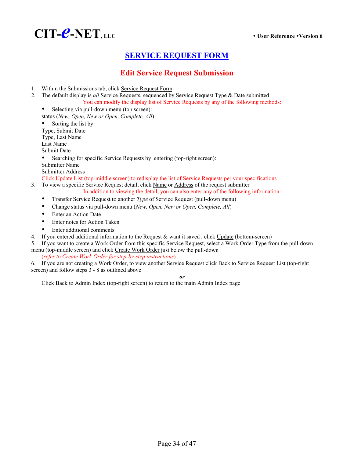

# **SERVICE REQUEST FORM**

# **Edit Service Request Submission**

- 1. Within the Submissions tab, click Service Request Form
- 2. The default display is *all* Service Requests, sequenced by Service Request Type & Date submitted You can modify the display list of Service Requests by any of the following methods:
	- Selecting via pull-down menu (top screen): status (*New, Open, New or Open, Complete, All*)
	- Sorting the list by:
	- Type, Submit Date
	- Type, Last Name
	- Last Name
	- Submit Date

Searching for specific Service Requests by entering (top-right screen):

- Submitter Name
- Submitter Address

Click Update List (top-middle screen) to redisplay the list of Service Requests per your specifications

3. To view a specific Service Request detail, click Name or Address of the request submitter

In addition to viewing the detail, you can also enter any of the following information:

- Transfer Service Request to another *Type* of Service Request (pull-down menu)
- Change status via pull-down menu (*New, Open, New or Open, Complete, All*)
- Enter an Action Date
- Enter notes for Action Taken
- Enter additional comments
- 4. If you entered additional information to the Request & want it saved , click Update (bottom-screen)
- 5. If you want to create a Work Order from this specific Service Request, select a Work Order Type from the pull-down menu (top-middle screen) and click Create Work Order just below the pull-down

(*refer to Create Work Order for step-by-step instructions*)

6. If you are not creating a Work Order, to view another Service Request click Back to Service Request List (top-right screen) and follow steps 3 - 8 as outlined above

#### *or*

Click Back to Admin Index (top-right screen) to return to the main Admin Index page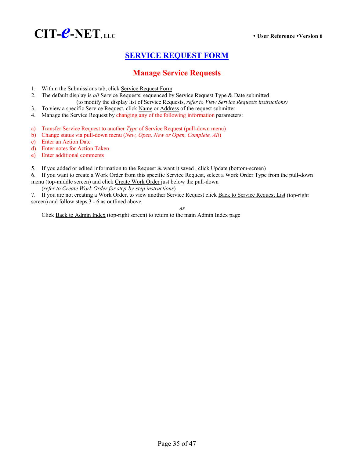

# **SERVICE REQUEST FORM**

# **Manage Service Requests**

- 1. Within the Submissions tab, click Service Request Form
- 2. The default display is *all* Service Requests, sequenced by Service Request Type & Date submitted (to modify the display list of Service Requests, *refer to View Service Requests instructions)*
- 3. To view a specific Service Request, click Name or Address of the request submitter
- 4. Manage the Service Request by changing any of the following information parameters:
- a) Transfer Service Request to another *Type* of Service Request (pull-down menu)
- b) Change status via pull-down menu (*New, Open, New or Open, Complete, All*)
- c) Enter an Action Date
- d) Enter notes for Action Taken
- e) Enter additional comments
- 5. If you added or edited information to the Request & want it saved, click Update (bottom-screen)
- 6. If you want to create a Work Order from this specific Service Request, select a Work Order Type from the pull-down menu (top-middle screen) and click Create Work Order just below the pull-down
- (*refer to Create Work Order for step-by-step instructions*)

7. If you are not creating a Work Order, to view another Service Request click Back to Service Request List (top-right screen) and follow steps 3 - 6 as outlined above

*or* 

Click Back to Admin Index (top-right screen) to return to the main Admin Index page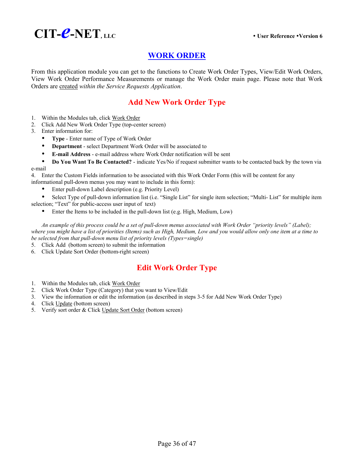

# **WORK ORDER**

From this application module you can get to the functions to Create Work Order Types, View/Edit Work Orders, View Work Order Performance Measurements or manage the Work Order main page. Please note that Work Orders are created *within the Service Requests Application*.

# **Add New Work Order Type**

- 1. Within the Modules tab, click Work Order
- 2. Click Add New Work Order Type (top-center screen)
- 3. Enter information for:
	- y **Type** Enter name of Type of Work Order
	- **•** Department select Department Work Order will be associated to
	- y **E-mail Address** e-mail address where Work Order notification will be sent
- **Do You Want To Be Contacted?** indicate Yes/No if request submitter wants to be contacted back by the town via e-mail

4. Enter the Custom Fields information to be associated with this Work Order Form (this will be content for any informational pull-down menus you may want to include in this form):

Enter pull-down Label description (e.g. Priority Level)

• Select Type of pull-down information list (i.e. "Single List" for single item selection; "Multi- List" for multiple item selection; "Text" for public-access user input of text)

Enter the Items to be included in the pull-down list (e.g. High, Medium, Low)

*An example of this process could be a set of pull-down menus associated with Work Order "priority levels" (Label); where you might have a list of priorities (Items) such as High, Medium, Low and you would allow only one item at a time to be selected from that pull-down menu list of priority levels (Types=single)* 

- 5. Click Add (bottom screen) to submit the information
- 6. Click Update Sort Order (bottom-right screen)

# **Edit Work Order Type**

- 1. Within the Modules tab, click Work Order
- 2. Click Work Order Type (Category) that you want to View/Edit
- 3. View the information or edit the information (as described in steps 3-5 for Add New Work Order Type)
- 4. Click Update (bottom screen)
- 5. Verify sort order & Click Update Sort Order (bottom screen)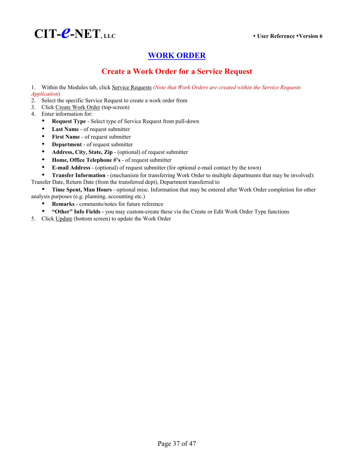

# **WORK ORDER**

# **Create a Work Order for a Service Request**

 1. Within the Modules tab, click Service Requests *(Note that Work Orders are created within the Service Requests Application*)

- 2. Select the specific Service Request to create a work order from
- 3. Click Create Work Order (top-screen)
- 4. Enter information for:
	- **Request Type** Select type of Service Request from pull-down
	- Last Name of request submitter
	- **•** First Name of request submitter
	- **Department** of request submitter
	- **Address, City, State, Zip** (optional) of request submitter
	- Home, Office Telephone #'s of request submitter
	- y **E-mail Address** (optional) of request submitter (for optional e-mail contact by the town)
- **Transfer Information -** (mechanism for transferring Work Order to multiple departments that may be involved): Transfer Date, Return Date (from the transferred dept), Department transferred to

**Time Spent, Man Hours** - optional misc. Information that may be entered after Work Order completion for other analysis purposes (e.g. planning, accounting etc.)

- **Remarks** comments/notes for future reference
- **\*** "Other" Info Fields you may custom-create these via the Create or Edit Work Order Type functions
- 5. Click Update (bottom screen) to update the Work Order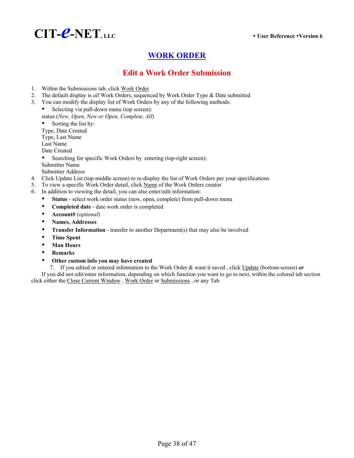

# **WORK ORDER**

# **Edit a Work Order Submission**

- 1. Within the Submissions tab, click Work Order
- 2. The default display is *all* Work Orders, sequenced by Work Order Type & Date submitted
- 3. You can modify the display list of Work Orders by any of the following methods:
	- Selecting via pull-down menu (top screen): status (*New, Open, New or Open, Complete, All*)
	- Sorting the list by:
	- Type, Date Created
	- Type, Last Name Last Name
	- Date Created
	-
	- Searching for specific Work Orders by entering (top-right screen): Submitter Name
	- Submitter Address
- 4. Click Update List (top-middle screen) to re-display the list of Work Orders per your specifications
- 5. To view a specific Work Order detail, click Name of the Work Orders creator
- 6. In addition to viewing the detail, you can also enter/edit information:
	- Status select work order status (new, open, complete) from pull-down menu
		- Completed date date work order is completed
		- y **Account#** (*optional*)
		- y **Names, Addresses**
	- **Transfer Information** transfer to another Department(s) that may also be involved
	- y **Time Spent**
	- y **Man Hours**
	- **•** Remarks
	- **•** Other custom info you may have created

7. If you edited or entered information to the Work Order & want it saved , click Update (bottom-screen) *or* If you did not edit/enter information, depending on which function you want to go to next, within the colored tab section click either the Close Current Window , Work Order or Submissions , or any Tab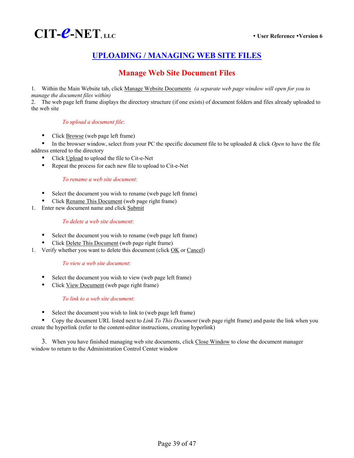

# **UPLOADING / MANAGING WEB SITE FILES**

# **Manage Web Site Document Files**

 1. Within the Main Website tab, click Manage Website Documents *(a separate web page window will open for you to manage the document files within)* 

2. The web page left frame displays the directory structure (if one exists) of document folders and files already uploaded to the web site

### *To upload a document file*:

• Click **Browse** (web page left frame)

y In the browser window, select from your PC the specific document file to be uploaded & click *Open* to have the file address entered to the directory

- Click Upload to upload the file to Cit-e-Net
- Repeat the process for each new file to upload to Cit-e-Net

*To rename a web site document*:

- Select the document you wish to rename (web page left frame)
- Click Rename This Document (web page right frame)
- 1. Enter new document name and click Submit

### *To delete a web site document*:

- Select the document you wish to rename (web page left frame)
- Click Delete This Document (web page right frame)
- 1. Verify whether you want to delete this document (click OK or Cancel)

### *To view a web site document*:

- Select the document you wish to view (web page left frame)
- Click View Document (web page right frame)

### *To link to a web site document*:

Select the document you wish to link to (web page left frame)

Copy the document URL listed next to *Link To This Document* (web page right frame) and paste the link when you create the hyperlink (refer to the content-editor instructions, creating hyperlink)

3. When you have finished managing web site documents, click Close Window to close the document manager window to return to the Administration Control Center window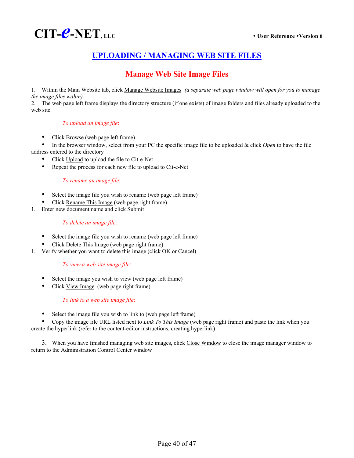

# **UPLOADING / MANAGING WEB SITE FILES**

# **Manage Web Site Image Files**

 1. Within the Main Website tab, click Manage Website Images *(a separate web page window will open for you to manage the image files within)* 

2. The web page left frame displays the directory structure (if one exists) of image folders and files already uploaded to the web site

### *To upload an image file*:

Click Browse (web page left frame)

• In the browser window, select from your PC the specific image file to be uploaded & click *Open* to have the file address entered to the directory

- Click Upload to upload the file to Cit-e-Net
- Repeat the process for each new file to upload to Cit-e-Net

### *To rename an image file*:

- Select the image file you wish to rename (web page left frame)
- Click Rename This Image (web page right frame)
- 1. Enter new document name and click Submit

### *To delete an image file*:

- Select the image file you wish to rename (web page left frame)
- Click Delete This Image (web page right frame)
- 1. Verify whether you want to delete this image (click OK or Cancel)

### *To view a web site image file*:

- Select the image you wish to view (web page left frame)
- Click View Image (web page right frame)

### *To link to a web site image file*:

Select the image file you wish to link to (web page left frame)

Copy the image file URL listed next to *Link To This Image* (web page right frame) and paste the link when you create the hyperlink (refer to the content-editor instructions, creating hyperlink)

3. When you have finished managing web site images, click Close Window to close the image manager window to return to the Administration Control Center window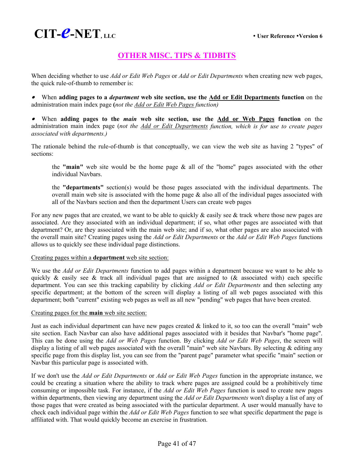# **OTHER MISC. TIPS & TIDBITS**

When deciding whether to use *Add or Edit Web Pages* or *Add or Edit Departments* when creating new web pages, the quick rule-of-thumb to remember is:

• When **adding pages to a** *department* **web site section, use the Add or Edit Departments function** on the administration main index page **(***not the Add or Edit Web Pages function)* 

• When **adding pages to the** *main* **web site section, use the Add or Web Pages function** on the administration main index page (*not the Add or Edit Departments function, which is for use to create pages associated with departments.)* 

The rationale behind the rule-of-thumb is that conceptually, we can view the web site as having 2 "types" of sections:

the **"main"** web site would be the home page & all of the "home" pages associated with the other individual Navbars.

the **"departments"** section(s) would be those pages associated with the individual departments. The overall main web site is associated with the home page  $\&$  also all of the individual pages associated with all of the Navbars section and then the department Users can create web pages

For any new pages that are created, we want to be able to quickly  $\&$  easily see  $\&$  track where those new pages are associated. Are they associated with an individual department; if so, what other pages are associated with that department? Or, are they associated with the main web site; and if so, what other pages are also associated with the overall main site? Creating pages using the *Add or Edit Departments* or the *Add or Edit Web Pages* functions allows us to quickly see these individual page distinctions.

### Creating pages within a **department** web site section:

We use the *Add or Edit Departments* function to add pages within a department because we want to be able to quickly & easily see & track all individual pages that are assigned to ( $\&$  associated with) each specific department. You can see this tracking capability by clicking *Add or Edit Departments* and then selecting any specific department; at the bottom of the screen will display a listing of all web pages associated with this department; both "current" existing web pages as well as all new "pending" web pages that have been created.

### Creating pages for the **main** web site section:

Just as each individual department can have new pages created & linked to it, so too can the overall "main" web site section. Each Navbar can also have additional pages associated with it besides that Navbar's "home page". This can be done using the *Add or Web Pages* function. By clicking *Add or Edit Web Pages*, the screen will display a listing of all web pages associated with the overall "main" web site Navbars. By selecting & editing any specific page from this display list, you can see from the "parent page" parameter what specific "main" section or Navbar this particular page is associated with.

If we don't use the *Add or Edit Departments* or *Add or Edit Web Pages* function in the appropriate instance, we could be creating a situation where the ability to track where pages are assigned could be a prohibitively time consuming or impossible task. For instance, if the *Add or Edit Web Pages* function is used to create new pages within departments, then viewing any department using the *Add or Edit Departments* won't display a list of any of those pages that were created as being associated with the particular department. A user would manually have to check each individual page within the *Add or Edit Web Pages* function to see what specific department the page is affiliated with. That would quickly become an exercise in frustration.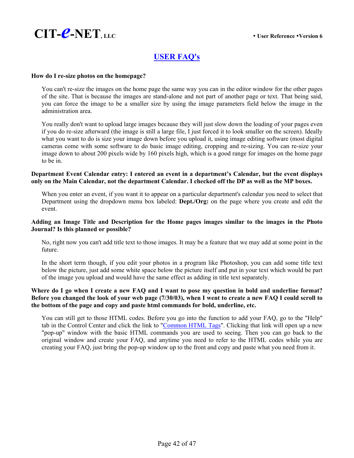

# **USER FAQ's**

### **How do I re-size photos on the homepage?**

You can't re-size the images on the home page the same way you can in the editor window for the other pages of the site. That is because the images are stand-alone and not part of another page or text. That being said, you can force the image to be a smaller size by using the image parameters field below the image in the administration area.

You really don't want to upload large images because they will just slow down the loading of your pages even if you do re-size afterward (the image is still a large file, I just forced it to look smaller on the screen). Ideally what you want to do is size your image down before you upload it, using image editing software (most digital cameras come with some software to do basic image editing, cropping and re-sizing. You can re-size your image down to about 200 pixels wide by 160 pixels high, which is a good range for images on the home page to be in.

### **Department Event Calendar entry: I entered an event in a department's Calendar, but the event displays only on the Main Calendar, not the department Calendar. I checked off the DP as well as the MP boxes.**

When you enter an event, if you want it to appear on a particular department's calendar you need to select that Department using the dropdown menu box labeled: **Dept./Org:** on the page where you create and edit the event.

### **Adding an Image Title and Description for the Home pages images similar to the images in the Photo Journal? Is this planned or possible?**

No, right now you can't add title text to those images. It may be a feature that we may add at some point in the future.

In the short term though, if you edit your photos in a program like Photoshop, you can add some title text below the picture, just add some white space below the picture itself and put in your text which would be part of the image you upload and would have the same effect as adding in title text separately.

### **Where do I go when I create a new FAQ and I want to pose my question in bold and underline format? Before you changed the look of your web page (7/30/03), when I went to create a new FAQ I could scroll to the bottom of the page and copy and paste html commands for bold, underline, etc.**

You can still get to those HTML codes. Before you go into the function to add your FAQ, go to the "Help" tab in the Control Center and click the link to "Common HTML Tags". Clicking that link will open up a new "pop-up" window with the basic HTML commands you are used to seeing. Then you can go back to the original window and create your FAQ, and anytime you need to refer to the HTML codes while you are creating your FAQ, just bring the pop-up window up to the front and copy and paste what you need from it.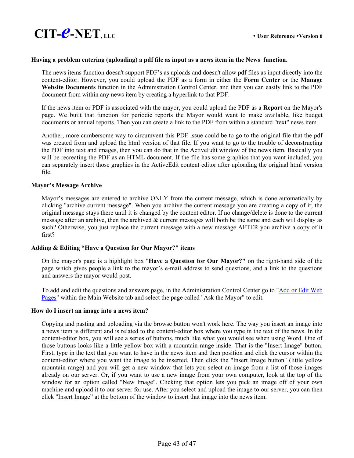

### **Having a problem entering (uploading) a pdf file as input as a news item in the News function.**

The news items function doesn't support PDF's as uploads and doesn't allow pdf files as input directly into the content-editor. However, you could upload the PDF as a form in either the **Form Center** or the **Manage Website Documents** function in the Administration Control Center, and then you can easily link to the PDF document from within any news item by creating a hyperlink to that PDF.

If the news item or PDF is associated with the mayor, you could upload the PDF as a **Report** on the Mayor's page. We built that function for periodic reports the Mayor would want to make available, like budget documents or annual reports. Then you can create a link to the PDF from within a standard "text" news item.

Another, more cumbersome way to circumvent this PDF issue could be to go to the original file that the pdf was created from and upload the html version of that file. If you want to go to the trouble of deconstructing the PDF into text and images, then you can do that in the ActiveEdit window of the news item. Basically you will be recreating the PDF as an HTML document. If the file has some graphics that you want included, you can separately insert those graphics in the ActiveEdit content editor after uploading the original html version file.

### **Mayor's Message Archive**

Mayor's messages are entered to archive ONLY from the current message, which is done automatically by clicking "archive current message". When you archive the current message you are creating a copy of it; the original message stays there until it is changed by the content editor. If no change/delete is done to the current message after an archive, then the archived & current messages will both be the same and each will display as such? Otherwise, you just replace the current message with a new message AFTER you archive a copy of it first?

### **Adding & Editing "Have a Question for Our Mayor?" items**

On the mayor's page is a highlight box "**Have a Question for Our Mayor?"** on the right-hand side of the page which gives people a link to the mayor's e-mail address to send questions, and a link to the questions and answers the mayor would post.

To add and edit the questions and answers page, in the Administration Control Center go to "Add or Edit Web Pages" within the Main Website tab and select the page called "Ask the Mayor" to edit.

### **How do I insert an image into a news item?**

Copying and pasting and uploading via the browse button won't work here. The way you insert an image into a news item is different and is related to the content-editor box where you type in the text of the news. In the content-editor box, you will see a series of buttons, much like what you would see when using Word. One of those buttons looks like a little yellow box with a mountain range inside. That is the "Insert Image" button. First, type in the text that you want to have in the news item and then position and click the cursor within the content-editor where you want the image to be inserted. Then click the "Insert Image button" (little yellow mountain range) and you will get a new window that lets you select an image from a list of those images already on our server. Or, if you want to use a new image from your own computer, look at the top of the window for an option called "New Image". Clicking that option lets you pick an image off of your own machine and upload it to our server for use. After you select and upload the image to our server, you can then click "Insert Image" at the bottom of the window to insert that image into the news item.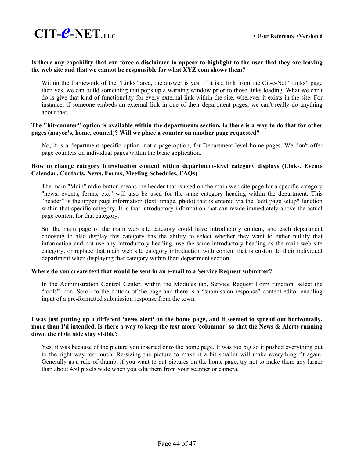### **Is there any capability that can force a disclaimer to appear to highlight to the user that they are leaving the web site and that we cannot be responsible for what XYZ.com shows them?**

Within the framework of the "Links" area, the answer is yes. If it is a link from the Cit-e-Net "Links" page then yes, we can build something that pops up a warning window prior to those links loading. What we can't do is give that kind of functionality for every external link within the site, wherever it exists in the site. For instance, if someone embeds an external link in one of their department pages, we can't really do anything about that.

### **The "hit-counter" option is available within the departments section. Is there is a way to do that for other pages (mayor's, home, council)? Will we place a counter on another page requested?**

No, it is a department specific option, not a page option, for Department-level home pages. We don't offer page counters on individual pages within the basic application.

### **How to change category introduction content within department-level category displays (Links, Events Calendar, Contacts, News, Forms, Meeting Schedules, FAQs)**

The main "Main" radio button means the header that is used on the main web site page for a specific category "news, events, forms, etc." will also be used for the same category heading within the department. This "header" is the upper page information (text, image, photo) that is entered via the "edit page setup" function within that specific category. It is that introductory information that can reside immediately above the actual page content for that category.

So, the main page of the main web site category could have introductory content, and each department choosing to also display this category has the ability to select whether they want to either nullify that information and not use any introductory heading, use the same introductory heading as the main web site category, or replace that main web site category introduction with content that is custom to their individual department when displaying that category within their department section.

### **Where do you create text that would be sent in an e-mail to a Service Request submitter?**

In the Administration Control Center, within the Modules tab, Service Request Form function, select the "tools" icon. Scroll to the bottom of the page and there is a "submission response" content-editor enabling input of a pre-formatted submission response from the town.

### **I was just putting up a different 'news alert' on the home page, and it seemed to spread out horizontally, more than I'd intended. Is there a way to keep the text more 'columnar' so that the News & Alerts running down the right side stay visible?**

Yes, it was because of the picture you inserted onto the home page. It was too big so it pushed everything out to the right way too much. Re-sizing the picture to make it a bit smaller will make everything fit again. Generally as a rule-of-thumb, if you want to put pictures on the home page, try not to make them any larger than about 450 pixels wide when you edit them from your scanner or camera.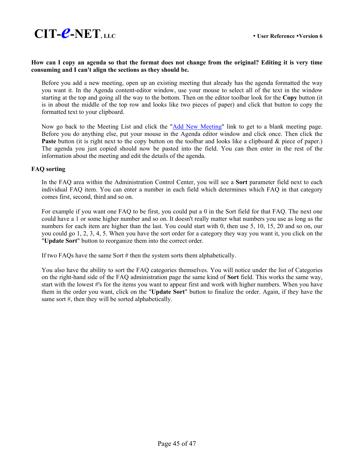

### **How can I copy an agenda so that the format does not change from the original? Editing it is very time consuming and I can't align the sections as they should be.**

Before you add a new meeting, open up an existing meeting that already has the agenda formatted the way you want it. In the Agenda content-editor window, use your mouse to select all of the text in the window starting at the top and going all the way to the bottom. Then on the editor toolbar look for the **Copy** button (it is in about the middle of the top row and looks like two pieces of paper) and click that button to copy the formatted text to your clipboard.

Now go back to the Meeting List and click the "Add New Meeting" link to get to a blank meeting page. Before you do anything else, put your mouse in the Agenda editor window and click once. Then click the **Paste** button (it is right next to the copy button on the toolbar and looks like a clipboard & piece of paper.) The agenda you just copied should now be pasted into the field. You can then enter in the rest of the information about the meeting and edit the details of the agenda.

### **FAQ sorting**

In the FAQ area within the Administration Control Center, you will see a **Sort** parameter field next to each individual FAQ item. You can enter a number in each field which determines which FAQ in that category comes first, second, third and so on.

For example if you want one FAQ to be first, you could put a 0 in the Sort field for that FAQ. The next one could have a 1 or some higher number and so on. It doesn't really matter what numbers you use as long as the numbers for each item are higher than the last. You could start with 0, then use 5, 10, 15, 20 and so on, our you could go 1, 2, 3, 4, 5. When you have the sort order for a category they way you want it, you click on the "**Update Sort**" button to reorganize them into the correct order.

If two FAQs have the same Sort # then the system sorts them alphabetically.

You also have the ability to sort the FAQ categories themselves. You will notice under the list of Categories on the right-hand side of the FAQ administration page the same kind of **Sort** field. This works the same way, start with the lowest #'s for the items you want to appear first and work with higher numbers. When you have them in the order you want, click on the "**Update Sort**" button to finalize the order. Again, if they have the same sort #, then they will be sorted alphabetically.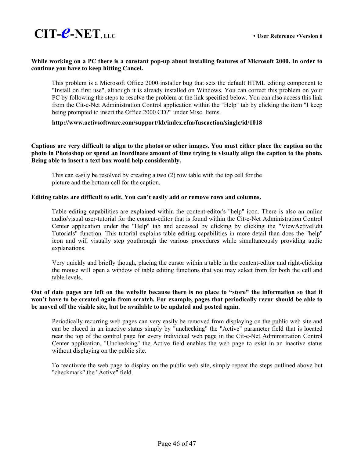

### **While working on a PC there is a constant pop-up about installing features of Microsoft 2000. In order to continue you have to keep hitting Cancel.**

 This problem is a Microsoft Office 2000 installer bug that sets the default HTML editing component to "Install on first use", although it is already installed on Windows. You can correct this problem on your PC by following the steps to resolve the problem at the link specified below. You can also access this link from the Cit-e-Net Administration Control application within the "Help" tab by clicking the item "I keep being prompted to insert the Office 2000 CD?" under Misc. Items.

### **http://www.activsoftware.com/support/kb/index.cfm/fuseaction/single/id/1018**

### **Captions are very difficult to align to the photos or other images. You must either place the caption on the photo in Photoshop or spend an inordinate amount of time trying to visually align the caption to the photo. Being able to insert a text box would help considerably.**

 This can easily be resolved by creating a two (2) row table with the top cell for the picture and the bottom cell for the caption.

### **Editing tables are difficult to edit. You can't easily add or remove rows and columns.**

 Table editing capabilities are explained within the content-editor's "help" icon. There is also an online audio/visual user-tutorial for the content-editor that is found within the Cit-e-Net Administration Control Center application under the "Help" tab and accessed by clicking by clicking the "ViewActiveEdit Tutorials" function. This tutorial explains table editing capabilities in more detail than does the "help" icon and will visually step youthrough the various procedures while simultaneously providing audio explanations.

 Very quickly and briefly though, placing the cursor within a table in the content-editor and right-clicking the mouse will open a window of table editing functions that you may select from for both the cell and table levels.

### **Out of date pages are left on the website because there is no place to "store" the information so that it won't have to be created again from scratch. For example, pages that periodically recur should be able to be moved off the visible site, but be available to be updated and posted again.**

 Periodically recurring web pages can very easily be removed from displaying on the public web site and can be placed in an inactive status simply by "unchecking" the "Active" parameter field that is located near the top of the control page for every individual web page in the Cit-e-Net Administration Control Center application. "Unchecking" the Active field enables the web page to exist in an inactive status without displaying on the public site.

 To reactivate the web page to display on the public web site, simply repeat the steps outlined above but "checkmark" the "Active" field.